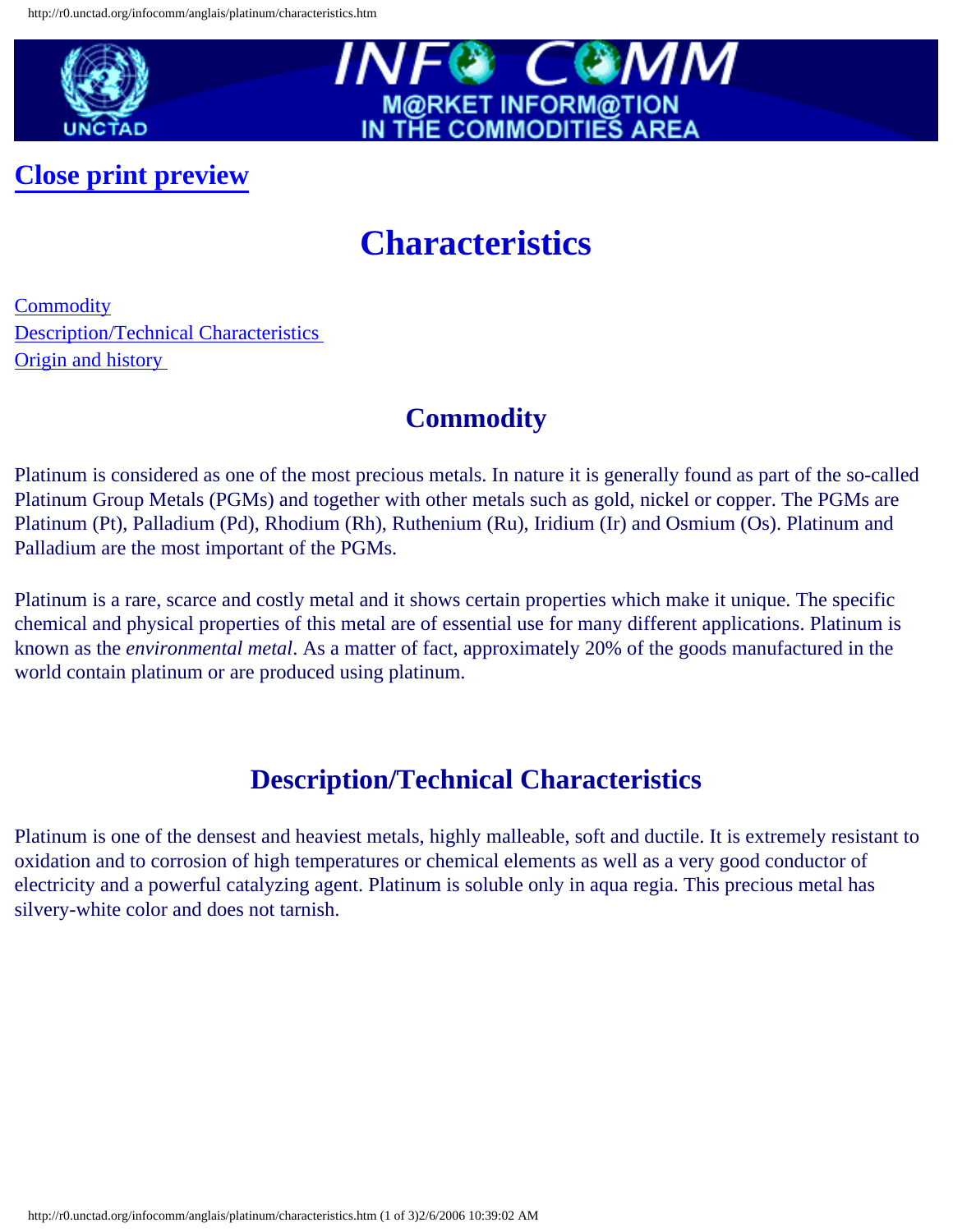

**[Close print preview](javascript:history.back())**



## **Characteristics**

**[Commodity](#page-0-0)** [Description/Technical Characteristics](#page-0-1) [Origin and history](#page-1-0)

## **Commodity**

<span id="page-0-0"></span>Platinum is considered as one of the most precious metals. In nature it is generally found as part of the so-called Platinum Group Metals (PGMs) and together with other metals such as gold, nickel or copper. The PGMs are Platinum (Pt), Palladium (Pd), Rhodium (Rh), Ruthenium (Ru), Iridium (Ir) and Osmium (Os). Platinum and Palladium are the most important of the PGMs.

Platinum is a rare, scarce and costly metal and it shows certain properties which make it unique. The specific chemical and physical properties of this metal are of essential use for many different applications. Platinum is known as the *environmental metal*. As a matter of fact, approximately 20% of the goods manufactured in the world contain platinum or are produced using platinum.

## **Description/Technical Characteristics**

<span id="page-0-1"></span>Platinum is one of the densest and heaviest metals, highly malleable, soft and ductile. It is extremely resistant to oxidation and to corrosion of high temperatures or chemical elements as well as a very good conductor of electricity and a powerful catalyzing agent. Platinum is soluble only in aqua regia. This precious metal has silvery-white color and does not tarnish.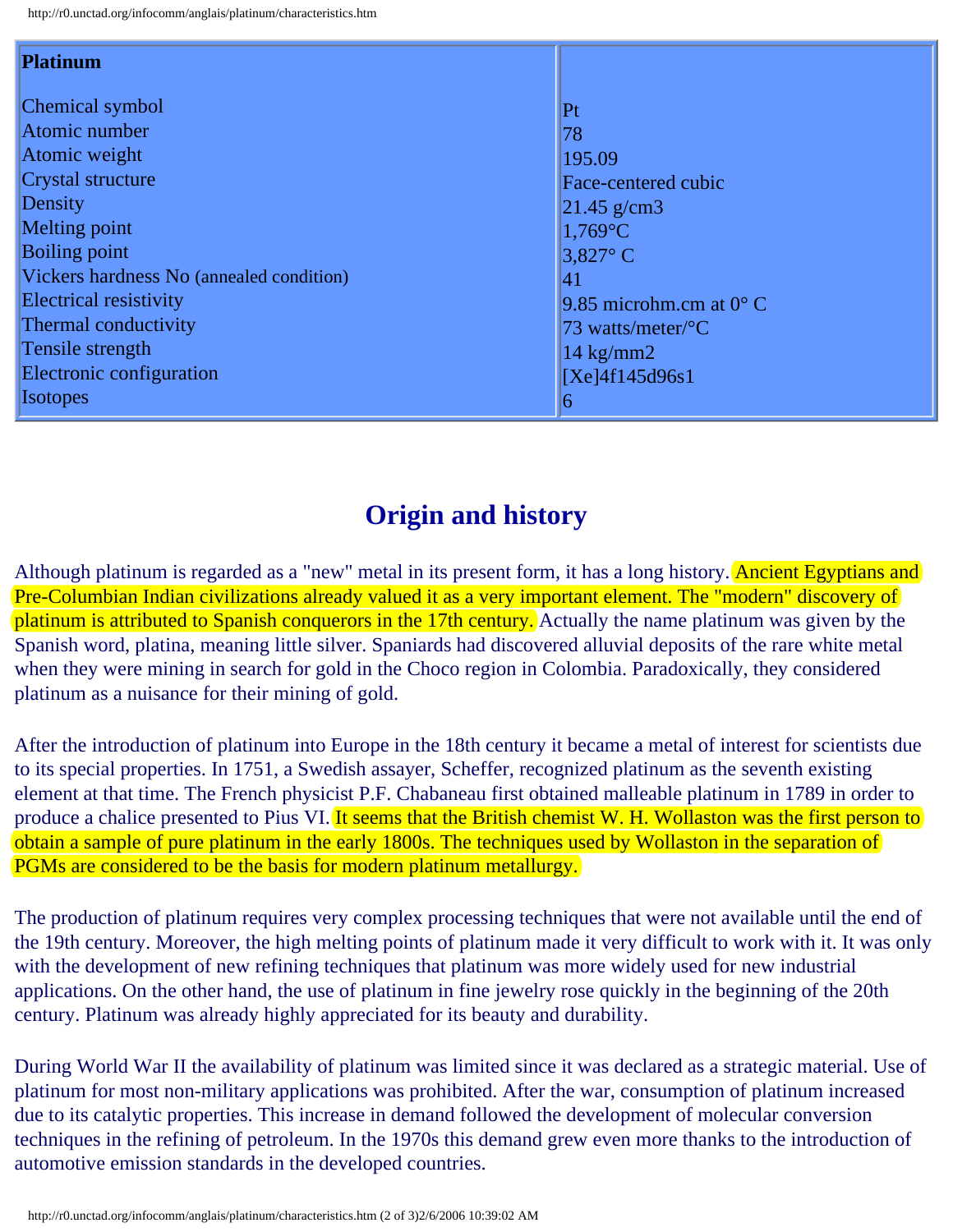| Platinum                                 |                                  |
|------------------------------------------|----------------------------------|
| Chemical symbol                          | Pt                               |
| Atomic number                            | 78                               |
| Atomic weight                            | 195.09                           |
| Crystal structure                        | Face-centered cubic              |
| Density                                  | $ 21.45 \text{ g/cm}$ 3          |
| Melting point                            | $1,769$ °C                       |
| <b>Boiling point</b>                     | $3,827^{\circ}$ C                |
| Vickers hardness No (annealed condition) | 41                               |
| Electrical resistivity                   | 9.85 microhm.cm at $0^{\circ}$ C |
| Thermal conductivity                     | 73 watts/meter/ ${}^{\circ}C$    |
| Tensile strength                         | $14 \text{ kg/mm2}$              |
| Electronic configuration                 | [Xe]4f145d96s1                   |
| <b>Isotopes</b>                          | $\sigma$                         |

## **Origin and history**

<span id="page-1-0"></span>Although platinum is regarded as a "new" metal in its present form, it has a long history. Ancient Egyptians and Pre-Columbian Indian civilizations already valued it as a very important element. The "modern" discovery of platinum is attributed to Spanish conquerors in the 17th century. Actually the name platinum was given by the Spanish word, platina, meaning little silver. Spaniards had discovered alluvial deposits of the rare white metal when they were mining in search for gold in the Choco region in Colombia. Paradoxically, they considered platinum as a nuisance for their mining of gold.

After the introduction of platinum into Europe in the 18th century it became a metal of interest for scientists due to its special properties. In 1751, a Swedish assayer, Scheffer, recognized platinum as the seventh existing element at that time. The French physicist P.F. Chabaneau first obtained malleable platinum in 1789 in order to produce a chalice presented to Pius VI. It seems that the British chemist W. H. Wollaston was the first person to obtain a sample of pure platinum in the early 1800s. The techniques used by Wollaston in the separation of PGMs are considered to be the basis for modern platinum metallurgy.

The production of platinum requires very complex processing techniques that were not available until the end of the 19th century. Moreover, the high melting points of platinum made it very difficult to work with it. It was only with the development of new refining techniques that platinum was more widely used for new industrial applications. On the other hand, the use of platinum in fine jewelry rose quickly in the beginning of the 20th century. Platinum was already highly appreciated for its beauty and durability.

During World War II the availability of platinum was limited since it was declared as a strategic material. Use of platinum for most non-military applications was prohibited. After the war, consumption of platinum increased due to its catalytic properties. This increase in demand followed the development of molecular conversion techniques in the refining of petroleum. In the 1970s this demand grew even more thanks to the introduction of automotive emission standards in the developed countries.